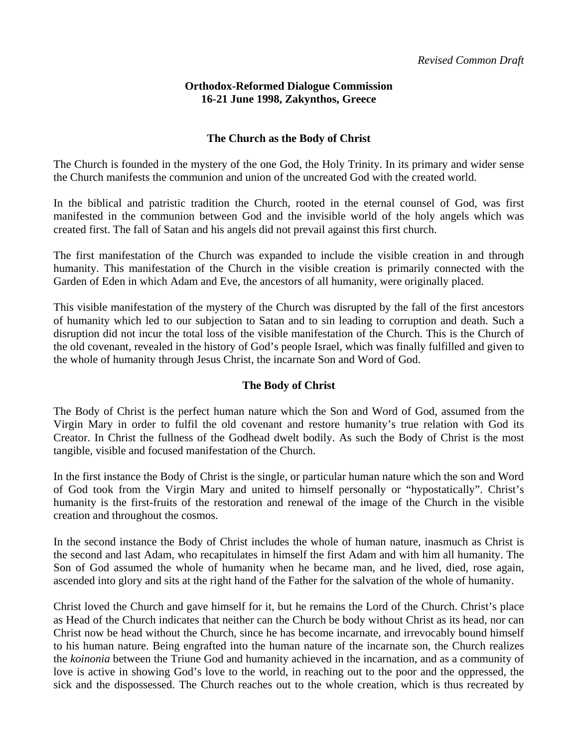## **Orthodox-Reformed Dialogue Commission 16-21 June 1998, Zakynthos, Greece**

## **The Church as the Body of Christ**

The Church is founded in the mystery of the one God, the Holy Trinity. In its primary and wider sense the Church manifests the communion and union of the uncreated God with the created world.

In the biblical and patristic tradition the Church, rooted in the eternal counsel of God, was first manifested in the communion between God and the invisible world of the holy angels which was created first. The fall of Satan and his angels did not prevail against this first church.

The first manifestation of the Church was expanded to include the visible creation in and through humanity. This manifestation of the Church in the visible creation is primarily connected with the Garden of Eden in which Adam and Eve, the ancestors of all humanity, were originally placed.

This visible manifestation of the mystery of the Church was disrupted by the fall of the first ancestors of humanity which led to our subjection to Satan and to sin leading to corruption and death. Such a disruption did not incur the total loss of the visible manifestation of the Church. This is the Church of the old covenant, revealed in the history of God's people Israel, which was finally fulfilled and given to the whole of humanity through Jesus Christ, the incarnate Son and Word of God.

## **The Body of Christ**

The Body of Christ is the perfect human nature which the Son and Word of God, assumed from the Virgin Mary in order to fulfil the old covenant and restore humanity's true relation with God its Creator. In Christ the fullness of the Godhead dwelt bodily. As such the Body of Christ is the most tangible, visible and focused manifestation of the Church.

In the first instance the Body of Christ is the single, or particular human nature which the son and Word of God took from the Virgin Mary and united to himself personally or "hypostatically". Christ's humanity is the first-fruits of the restoration and renewal of the image of the Church in the visible creation and throughout the cosmos.

In the second instance the Body of Christ includes the whole of human nature, inasmuch as Christ is the second and last Adam, who recapitulates in himself the first Adam and with him all humanity. The Son of God assumed the whole of humanity when he became man, and he lived, died, rose again, ascended into glory and sits at the right hand of the Father for the salvation of the whole of humanity.

Christ loved the Church and gave himself for it, but he remains the Lord of the Church. Christ's place as Head of the Church indicates that neither can the Church be body without Christ as its head, nor can Christ now be head without the Church, since he has become incarnate, and irrevocably bound himself to his human nature. Being engrafted into the human nature of the incarnate son, the Church realizes the *koinonia* between the Triune God and humanity achieved in the incarnation, and as a community of love is active in showing God's love to the world, in reaching out to the poor and the oppressed, the sick and the dispossessed. The Church reaches out to the whole creation, which is thus recreated by